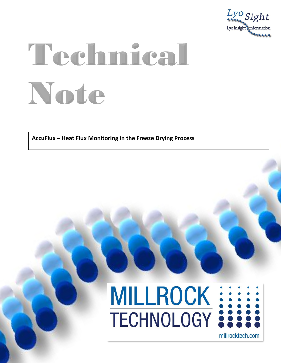

## Technical Note

AccuFlux - Heat Flux Monitoring in the Freeze Drying Process

## MILLROCK ::::

millrocktech.com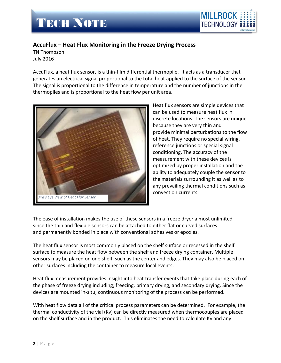

## **AccuFlux – Heat Flux Monitoring in the Freeze Drying Process**

TN Thompson July 2016

AccuFlux, a heat flux sensor, is a thin-film differential thermopile. It acts as a transducer that generates an electrical signal proportional to the total heat applied to the surface of the sensor. The signal is proportional to the difference in temperature and the number of junctions in the thermopiles and is proportional to the heat flow per unit area.



Heat flux sensors are simple devices that can be used to measure heat flux in discrete locations. The sensors are unique because they are very thin and provide minimal perturbations to the flow of heat. They require no special wiring, reference junctions or special signal conditioning. The accuracy of the measurement with these devices is optimized by proper installation and the ability to adequately couple the sensor to the materials surrounding it as well as to any prevailing thermal conditions such as convection currents.

The ease of installation makes the use of these sensors in a freeze dryer almost unlimited since the thin and flexible sensors can be attached to either flat or curved surfaces and permanently bonded in place with conventional adhesives or epoxies.

The heat flux sensor is most commonly placed on the shelf surface or recessed in the shelf surface to measure the heat flow between the shelf and freeze drying container. Multiple sensors may be placed on one shelf, such as the center and edges. They may also be placed on other surfaces including the container to measure local events.

Heat flux measurement provides insight into heat transfer events that take place during each of the phase of freeze drying including; freezing, primary drying, and secondary drying. Since the devices are mounted in-situ, continuous monitoring of the process can be performed.

With heat flow data all of the critical process parameters can be determined. For example, the thermal conductivity of the vial (Kv) can be directly measured when thermocouples are placed on the shelf surface and in the product. This eliminates the need to calculate Kv and any